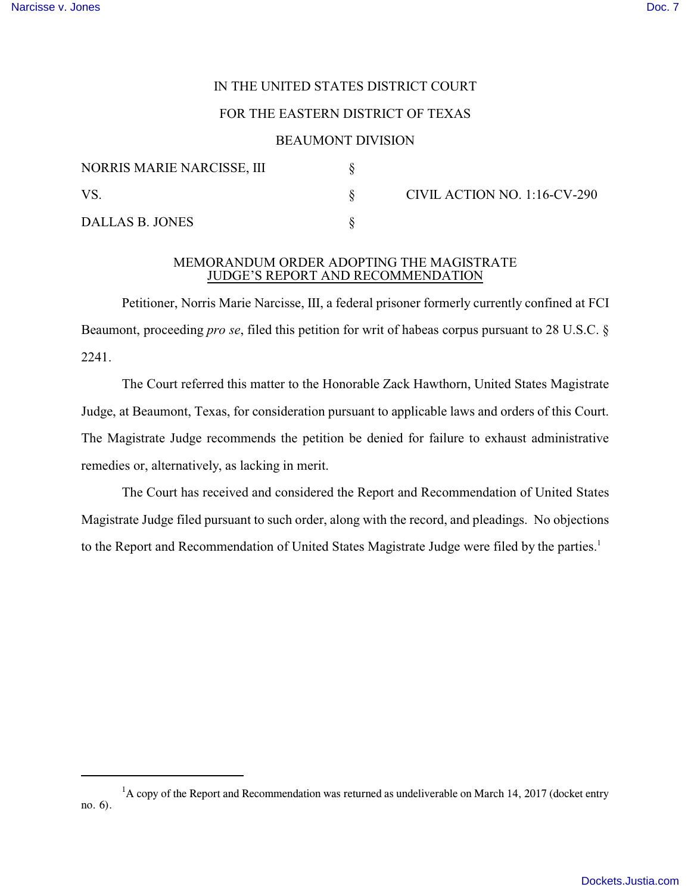## IN THE UNITED STATES DISTRICT COURT

# FOR THE EASTERN DISTRICT OF TEXAS

### BEAUMONT DIVISION

| NORRIS MARIE NARCISSE, III |  | CIVIL ACTION NO. 1:16-CV-290 |
|----------------------------|--|------------------------------|
| - VS                       |  |                              |
| DALLAS B. JONES            |  |                              |

#### MEMORANDUM ORDER ADOPTING THE MAGISTRATE JUDGE'S REPORT AND RECOMMENDATION

Petitioner, Norris Marie Narcisse, III, a federal prisoner formerly currently confined at FCI Beaumont, proceeding *pro se*, filed this petition for writ of habeas corpus pursuant to 28 U.S.C. § 2241.

The Court referred this matter to the Honorable Zack Hawthorn, United States Magistrate Judge, at Beaumont, Texas, for consideration pursuant to applicable laws and orders of this Court. The Magistrate Judge recommends the petition be denied for failure to exhaust administrative remedies or, alternatively, as lacking in merit.

The Court has received and considered the Report and Recommendation of United States Magistrate Judge filed pursuant to such order, along with the record, and pleadings. No objections to the Report and Recommendation of United States Magistrate Judge were filed by the parties.<sup>1</sup>

 $<sup>1</sup>A$  copy of the Report and Recommendation was returned as undeliverable on March 14, 2017 (docket entry</sup> no. 6).